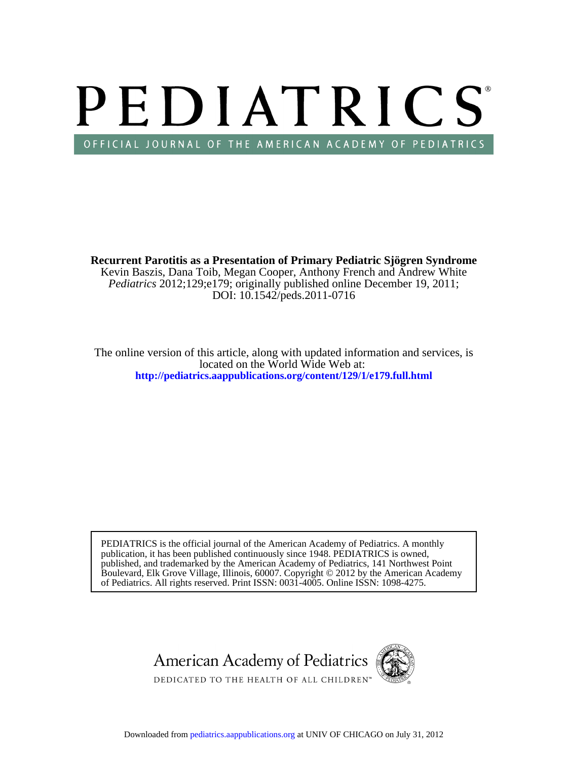# PEDIATRICS OFFICIAL JOURNAL OF THE AMERICAN ACADEMY OF PEDIATRICS

DOI: 10.1542/peds.2011-0716 *Pediatrics* 2012;129;e179; originally published online December 19, 2011; Kevin Baszis, Dana Toib, Megan Cooper, Anthony French and Andrew White **Recurrent Parotitis as a Presentation of Primary Pediatric Sjögren Syndrome**

**<http://pediatrics.aappublications.org/content/129/1/e179.full.html>** located on the World Wide Web at: The online version of this article, along with updated information and services, is

of Pediatrics. All rights reserved. Print ISSN: 0031-4005. Online ISSN: 1098-4275. Boulevard, Elk Grove Village, Illinois, 60007. Copyright © 2012 by the American Academy published, and trademarked by the American Academy of Pediatrics, 141 Northwest Point publication, it has been published continuously since 1948. PEDIATRICS is owned, PEDIATRICS is the official journal of the American Academy of Pediatrics. A monthly

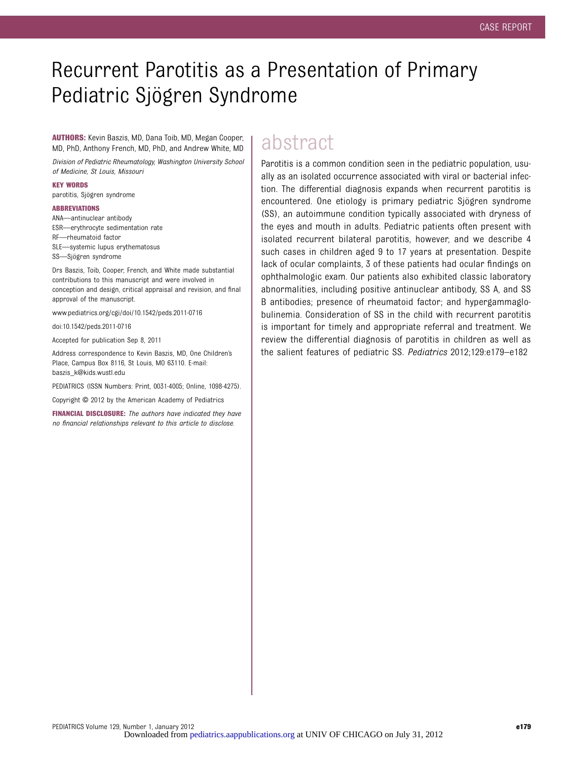## Recurrent Parotitis as a Presentation of Primary Pediatric Sjögren Syndrome

AUTHORS: Kevin Baszis, MD, Dana Toib, MD, Megan Cooper, MD, PhD, Anthony French, MD, PhD, and Andrew White, MD

Division of Pediatric Rheumatology, Washington University School of Medicine, St Louis, Missouri

KEY WORDS

parotitis, Sjögren syndrome

#### ABBREVIATIONS

ANA—antinuclear antibody

ESR—erythrocyte sedimentation rate

RF—rheumatoid factor

SLE—systemic lupus erythematosus

SS—Sjögren syndrome

Drs Baszis, Toib, Cooper, French, and White made substantial contributions to this manuscript and were involved in conception and design, critical appraisal and revision, and final approval of the manuscript.

www.pediatrics.org/cgi/doi/10.1542/peds.2011-0716

doi:10.1542/peds.2011-0716

Accepted for publication Sep 8, 2011

Address correspondence to Kevin Baszis, MD, One Children's Place, Campus Box 8116, St Louis, MO 63110. E-mail: baszis\_k@kids.wustl.edu

PEDIATRICS (ISSN Numbers: Print, 0031-4005; Online, 1098-4275).

Copyright © 2012 by the American Academy of Pediatrics

FINANCIAL DISCLOSURE: The authors have indicated they have no financial relationships relevant to this article to disclose.

### abstract

Parotitis is a common condition seen in the pediatric population, usually as an isolated occurrence associated with viral or bacterial infection. The differential diagnosis expands when recurrent parotitis is encountered. One etiology is primary pediatric Sjögren syndrome (SS), an autoimmune condition typically associated with dryness of the eyes and mouth in adults. Pediatric patients often present with isolated recurrent bilateral parotitis, however, and we describe 4 such cases in children aged 9 to 17 years at presentation. Despite lack of ocular complaints, 3 of these patients had ocular findings on ophthalmologic exam. Our patients also exhibited classic laboratory abnormalities, including positive antinuclear antibody, SS A, and SS B antibodies; presence of rheumatoid factor; and hypergammaglobulinemia. Consideration of SS in the child with recurrent parotitis is important for timely and appropriate referral and treatment. We review the differential diagnosis of parotitis in children as well as the salient features of pediatric SS. Pediatrics 2012;129:e179–e182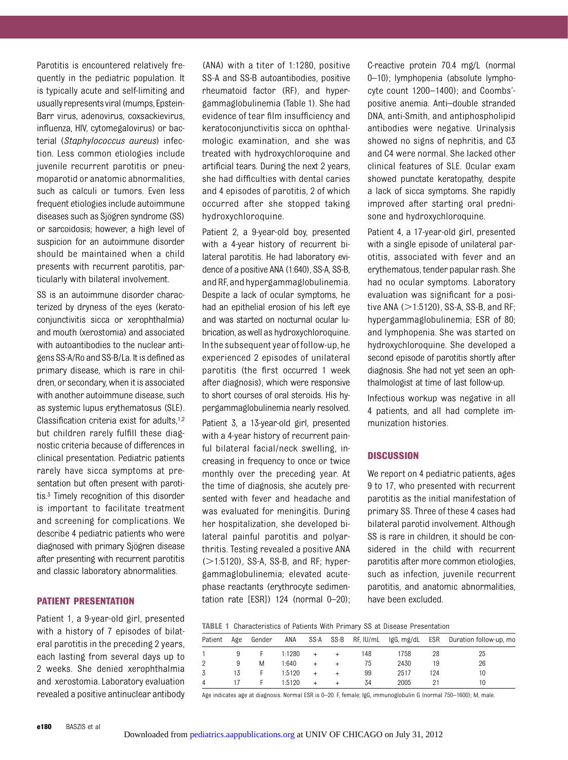Parotitis is encountered relatively frequently in the pediatric population. It is typically acute and self-limiting and usually representsviral (mumps, Epstein-Barr virus, adenovirus, coxsackievirus, influenza, HIV, cytomegalovirus) or bacterial (Staphylococcus aureus) infection. Less common etiologies include juvenile recurrent parotitis or pneumoparotid or anatomic abnormalities, such as calculi or tumors. Even less frequent etiologies include autoimmune diseases such as Sjögren syndrome (SS) or sarcoidosis; however, a high level of suspicion for an autoimmune disorder should be maintained when a child presents with recurrent parotitis, particularly with bilateral involvement.

SS is an autoimmune disorder characterized by dryness of the eyes (keratoconjunctivitis sicca or xerophthalmia) and mouth (xerostomia) and associated with autoantibodies to the nuclear antigens SS-A/Ro and SS-B/La. It is defined as primary disease, which is rare in children, or secondary, when it is associated with another autoimmune disease, such as systemic lupus erythematosus (SLE). Classification criteria exist for adults,<sup>1,2</sup> but children rarely fulfill these diagnostic criteria because of differences in clinical presentation. Pediatric patients rarely have sicca symptoms at presentation but often present with parotitis.3 Timely recognition of this disorder is important to facilitate treatment and screening for complications. We describe 4 pediatric patients who were diagnosed with primary Sjögren disease after presenting with recurrent parotitis and classic laboratory abnormalities.

#### PATIENT PRESENTATION

Patient 1, a 9-year-old girl, presented with a history of 7 episodes of bilateral parotitis in the preceding 2 years, each lasting from several days up to 2 weeks. She denied xerophthalmia and xerostomia. Laboratory evaluation revealed a positive antinuclear antibody

(ANA) with a titer of 1:1280, positive SS-A and SS-B autoantibodies, positive rheumatoid factor (RF), and hypergammaglobulinemia (Table 1). She had evidence of tear film insufficiency and keratoconjunctivitis sicca on ophthalmologic examination, and she was treated with hydroxychloroquine and artificial tears. During the next 2 years, she had difficulties with dental caries and 4 episodes of parotitis, 2 of which occurred after she stopped taking hydroxychloroquine.

Patient 2, a 9-year-old boy, presented with a 4-year history of recurrent bilateral parotitis. He had laboratory evidence of a positive ANA (1:640), SS-A, SS-B, and RF, and hypergammaglobulinemia. Despite a lack of ocular symptoms, he had an epithelial erosion of his left eye and was started on nocturnal ocular lubrication, as well as hydroxychloroquine. Inthe subsequent year of follow-up, he experienced 2 episodes of unilateral parotitis (the first occurred 1 week after diagnosis), which were responsive to short courses of oral steroids. His hypergammaglobulinemia nearly resolved. Patient 3, a 13-year-old girl, presented with a 4-year history of recurrent painful bilateral facial/neck swelling, increasing in frequency to once or twice monthly over the preceding year. At the time of diagnosis, she acutely presented with fever and headache and was evaluated for meningitis. During her hospitalization, she developed bilateral painful parotitis and polyarthritis. Testing revealed a positive ANA  $(>=1:5120)$ , SS-A, SS-B, and RF; hypergammaglobulinemia; elevated acutephase reactants (erythrocyte sedimentation rate [ESR]) 124 (normal 0–20); C-reactive protein 70.4 mg/L (normal 0–10); lymphopenia (absolute lymphocyte count 1200–1400); and Coombs' positive anemia. Anti–double stranded DNA, anti-Smith, and antiphospholipid antibodies were negative. Urinalysis showed no signs of nephritis, and C3 and C4 were normal. She lacked other clinical features of SLE. Ocular exam showed punctate keratopathy, despite a lack of sicca symptoms. She rapidly improved after starting oral prednisone and hydroxychloroquine.

Patient 4, a 17-year-old girl, presented with a single episode of unilateral parotitis, associated with fever and an erythematous, tender papular rash. She had no ocular symptoms. Laboratory evaluation was significant for a positive ANA  $(>1:5120)$ , SS-A, SS-B, and RF; hypergammaglobulinemia; ESR of 80; and lymphopenia. She was started on hydroxychloroquine. She developed a second episode of parotitis shortly after diagnosis. She had not yet seen an ophthalmologist at time of last follow-up.

Infectious workup was negative in all 4 patients, and all had complete immunization histories.

#### **DISCUSSION**

We report on 4 pediatric patients, ages 9 to 17, who presented with recurrent parotitis as the initial manifestation of primary SS. Three of these 4 cases had bilateral parotid involvement. Although SS is rare in children, it should be considered in the child with recurrent parotitis after more common etiologies, such as infection, juvenile recurrent parotitis, and anatomic abnormalities, have been excluded.

TABLE 1 Characteristics of Patients With Primary SS at Disease Presentation

| Patient | Age | Gender | ANA    |     |  | SS-A SS-B RF, IU/mL |      |     | IgG, mg/dL ESR Duration follow-up, mo |
|---------|-----|--------|--------|-----|--|---------------------|------|-----|---------------------------------------|
|         |     |        | 1:1280 | $+$ |  | 148                 | 1758 | 28  | 25                                    |
|         |     | М      | 1:640  |     |  | 75                  | 2430 | 19  | 26                                    |
|         | 13  |        | 1:5120 |     |  | 99                  | 2517 | 124 | 10                                    |
|         |     |        | 1:5120 |     |  | 34                  | 2005 |     | 10                                    |

Age indicates age at diagnosis. Normal ESR is 0–20. F, female; IgG, immunoglobulin G (normal 750–1600); M, male.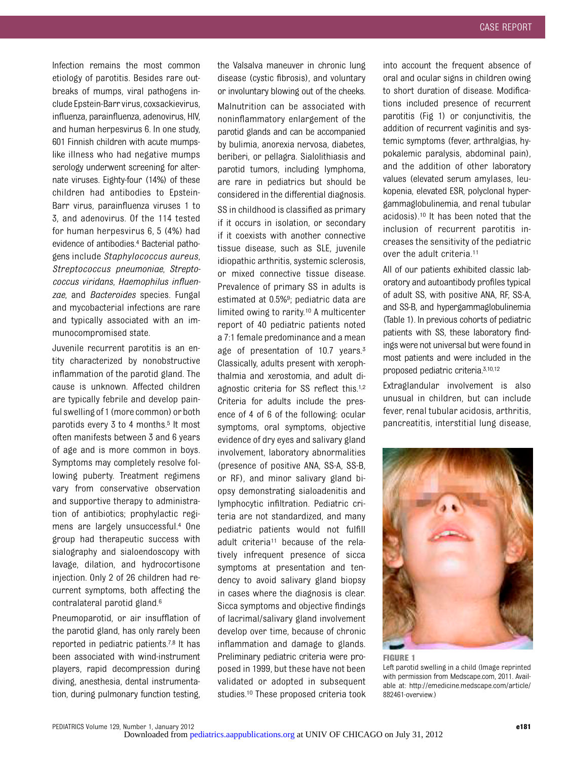Infection remains the most common etiology of parotitis. Besides rare outbreaks of mumps, viral pathogens include Epstein-Barr virus, coxsackievirus, influenza, parainfluenza, adenovirus, HIV, and human herpesvirus 6. In one study, 601 Finnish children with acute mumpslike illness who had negative mumps serology underwent screening for alternate viruses. Eighty-four (14%) of these children had antibodies to Epstein-Barr virus, parainfluenza viruses 1 to 3, and adenovirus. Of the 114 tested for human herpesvirus 6, 5 (4%) had evidence of antibodies.4 Bacterial pathogens include Staphylococcus aureus, Streptococcus pneumoniae, Streptococcus viridans, Haemophilus influenzae, and Bacteroides species. Fungal and mycobacterial infections are rare and typically associated with an immunocompromised state.

Juvenile recurrent parotitis is an entity characterized by nonobstructive inflammation of the parotid gland. The cause is unknown. Affected children are typically febrile and develop painful swelling of 1 (more common) or both parotids every 3 to 4 months.<sup>5</sup> It most often manifests between 3 and 6 years of age and is more common in boys. Symptoms may completely resolve following puberty. Treatment regimens vary from conservative observation and supportive therapy to administration of antibiotics; prophylactic regimens are largely unsuccessful.4 One group had therapeutic success with sialography and sialoendoscopy with lavage, dilation, and hydrocortisone injection. Only 2 of 26 children had recurrent symptoms, both affecting the contralateral parotid gland.6

Pneumoparotid, or air insufflation of the parotid gland, has only rarely been reported in pediatric patients.7,8 It has been associated with wind-instrument players, rapid decompression during diving, anesthesia, dental instrumentation, during pulmonary function testing,

the Valsalva maneuver in chronic lung disease (cystic fibrosis), and voluntary or involuntary blowing out of the cheeks. Malnutrition can be associated with noninflammatory enlargement of the parotid glands and can be accompanied by bulimia, anorexia nervosa, diabetes, beriberi, or pellagra. Sialolithiasis and parotid tumors, including lymphoma, are rare in pediatrics but should be considered in the differential diagnosis. SS in childhood is classified as primary if it occurs in isolation, or secondary if it coexists with another connective tissue disease, such as SLE, juvenile idiopathic arthritis, systemic sclerosis, or mixed connective tissue disease. Prevalence of primary SS in adults is estimated at 0.5%9; pediatric data are limited owing to rarity.10 A multicenter report of 40 pediatric patients noted a 7:1 female predominance and a mean age of presentation of 10.7 years.<sup>3</sup> Classically, adults present with xerophthalmia and xerostomia, and adult diagnostic criteria for SS reflect this.1,2 Criteria for adults include the presence of 4 of 6 of the following: ocular symptoms, oral symptoms, objective evidence of dry eyes and salivary gland involvement, laboratory abnormalities (presence of positive ANA, SS-A, SS-B, or RF), and minor salivary gland biopsy demonstrating sialoadenitis and lymphocytic infiltration. Pediatric criteria are not standardized, and many pediatric patients would not fulfill adult criteria11 because of the relatively infrequent presence of sicca symptoms at presentation and tendency to avoid salivary gland biopsy in cases where the diagnosis is clear. Sicca symptoms and objective findings of lacrimal/salivary gland involvement develop over time, because of chronic inflammation and damage to glands. Preliminary pediatric criteria were proposed in 1999, but these have not been validated or adopted in subsequent studies.10 These proposed criteria took

into account the frequent absence of oral and ocular signs in children owing to short duration of disease. Modifications included presence of recurrent parotitis (Fig 1) or conjunctivitis, the addition of recurrent vaginitis and systemic symptoms (fever, arthralgias, hypokalemic paralysis, abdominal pain), and the addition of other laboratory values (elevated serum amylases, leukopenia, elevated ESR, polyclonal hypergammaglobulinemia, and renal tubular acidosis).10 It has been noted that the inclusion of recurrent parotitis increases the sensitivity of the pediatric over the adult criteria.<sup>11</sup>

All of our patients exhibited classic laboratory and autoantibody profiles typical of adult SS, with positive ANA, RF, SS-A, and SS-B, and hypergammaglobulinemia (Table 1). In previous cohorts of pediatric patients with SS, these laboratory findings were not universal but were found in most patients and were included in the proposed pediatric criteria.3,10,12

Extraglandular involvement is also unusual in children, but can include fever, renal tubular acidosis, arthritis, pancreatitis, interstitial lung disease,



FIGURE 1 Left parotid swelling in a child (Image reprinted with permission from Medscape.com, 2011. Available at: http://emedicine.medscape.com/article/ 882461-overview.)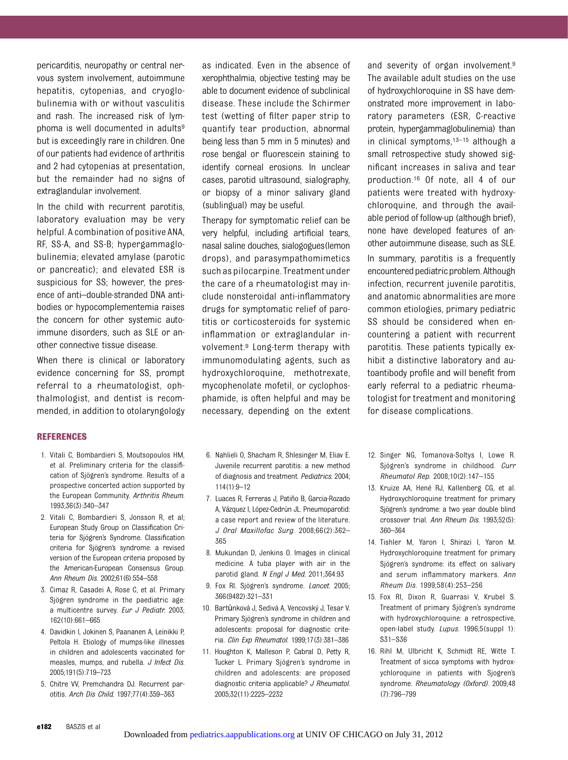pericarditis, neuropathy or central nervous system involvement, autoimmune hepatitis, cytopenias, and cryoglobulinemia with or without vasculitis and rash. The increased risk of lymphoma is well documented in adults<sup>9</sup> but is exceedingly rare in children. One of our patients had evidence of arthritis and 2 had cytopenias at presentation, but the remainder had no signs of extraglandular involvement.

In the child with recurrent parotitis, laboratory evaluation may be very helpful. A combination of positive ANA, RF, SS-A, and SS-B; hypergammaglobulinemia; elevated amylase (parotic or pancreatic); and elevated ESR is suspicious for SS; however, the presence of anti–double-stranded DNA antibodies or hypocomplementemia raises the concern for other systemic autoimmune disorders, such as SLE or another connective tissue disease.

When there is clinical or laboratory evidence concerning for SS, prompt referral to a rheumatologist, ophthalmologist, and dentist is recommended, in addition to otolaryngology

#### REFERENCES

- 1. Vitali C, Bombardieri S, Moutsopoulos HM, et al. Preliminary criteria for the classification of Sjögren's syndrome. Results of a prospective concerted action supported by the European Community. Arthritis Rheum. 1993;36(3):340–347
- 2. Vitali C, Bombardieri S, Jonsson R, et al; European Study Group on Classification Criteria for Sjögren's Syndrome. Classification criteria for Sjögren's syndrome: a revised version of the European criteria proposed by the American-European Consensus Group. Ann Rheum Dis. 2002;61(6):554–558
- 3. Cimaz R, Casadei A, Rose C, et al. Primary Sjögren syndrome in the paediatric age: a multicentre survey. Eur J Pediatr. 2003; 162(10):661–665
- 4. Davidkin I, Jokinen S, Paananen A, Leinikki P, Peltola H. Etiology of mumps-like illnesses in children and adolescents vaccinated for measles, mumps, and rubella. J Infect Dis. 2005;191(5):719–723
- 5. Chitre VV, Premchandra DJ. Recurrent parotitis. Arch Dis Child. 1997;77(4):359–363

as indicated. Even in the absence of xerophthalmia, objective testing may be able to document evidence of subclinical disease. These include the Schirmer test (wetting of filter paper strip to quantify tear production, abnormal being less than 5 mm in 5 minutes) and rose bengal or fluorescein staining to identify corneal erosions. In unclear cases, parotid ultrasound, sialography, or biopsy of a minor salivary gland (sublingual) may be useful.

Therapy for symptomatic relief can be very helpful, including artificial tears, nasal saline douches, sialogogues(lemon drops), and parasympathomimetics such as pilocarpine. Treatment under the care of a rheumatologist may include nonsteroidal anti-inflammatory drugs for symptomatic relief of parotitis or corticosteroids for systemic inflammation or extraglandular involvement.9 Long-term therapy with immunomodulating agents, such as hydroxychloroquine, methotrexate, mycophenolate mofetil, or cyclophosphamide, is often helpful and may be necessary, depending on the extent

- 6. Nahlieli O, Shacham R, Shlesinger M, Eliav E. Juvenile recurrent parotitis: a new method of diagnosis and treatment. Pediatrics. 2004; 114(1):9–12
- 7. Luaces R, Ferreras J, Patiño B, Garcia-Rozado A, Vázquez I, López-Cedrún JL. Pneumoparotid: a case report and review of the literature. J Oral Maxillofac Surg. 2008;66(2):362– 365
- 8. Mukundan D, Jenkins O. Images in clinical medicine. A tuba player with air in the parotid gland. N Engl J Med. 2011;364:93
- 9. Fox Rl. Sjögren's syndrome. Lancet. 2005; 366(9482):321–331
- 10. Bartůnková J, Sedivá A, Vencovský J, Tesar V. Primary Sjögren's syndrome in children and adolescents: proposal for diagnostic criteria. Clin Exp Rheumatol. 1999;17(3):381–386
- 11. Houghton K, Malleson P, Cabral D, Petty R, Tucker L. Primary Sjögren's syndrome in children and adolescents: are proposed diagnostic criteria applicable? J Rheumatol. 2005;32(11):2225–2232

and severity of organ involvement.9 The available adult studies on the use of hydroxychloroquine in SS have demonstrated more improvement in laboratory parameters (ESR, C-reactive protein, hypergammaglobulinemia) than in clinical symptoms, $13-15$  although a small retrospective study showed significant increases in saliva and tear production.16 Of note, all 4 of our patients were treated with hydroxychloroquine, and through the available period of follow-up (although brief), none have developed features of another autoimmune disease, such as SLE.

In summary, parotitis is a frequently encountered pediatric problem. Although infection, recurrent juvenile parotitis, and anatomic abnormalities are more common etiologies, primary pediatric SS should be considered when encountering a patient with recurrent parotitis. These patients typically exhibit a distinctive laboratory and autoantibody profile and will benefit from early referral to a pediatric rheumatologist for treatment and monitoring for disease complications.

- 12. Singer NG, Tomanova-Soltys I, Lowe R. Sjögren's syndrome in childhood. Curr Rheumatol Rep. 2008;10(2):147–155
- 13. Kruize AA, Hené RJ, Kallenberg CG, et al. Hydroxychloroquine treatment for primary Sjögren's syndrome: a two year double blind crossover trial. Ann Rheum Dis. 1993;52(5): 360–364
- 14. Tishler M, Yaron I, Shirazi I, Yaron M. Hydroxychloroquine treatment for primary Sjögren's syndrome: its effect on salivary and serum inflammatory markers. Ann Rheum Dis. 1999;58(4):253–256
- 15. Fox RI, Dixon R, Guarrasi V, Krubel S. Treatment of primary Sjögren's syndrome with hydroxychloroquine: a retrospective, open-label study. Lupus. 1996;5(suppl 1): S31–S36
- 16. Rihl M, Ulbricht K, Schmidt RE, Witte T. Treatment of sicca symptoms with hydroxychloroquine in patients with Sjogren's syndrome. Rheumatology (Oxford). 2009;48 (7):796–799